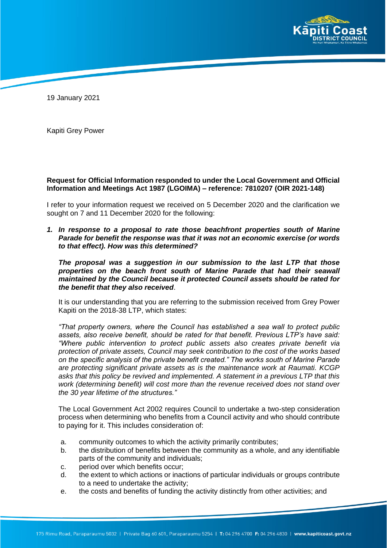

19 January 2021

Kapiti Grey Power

## **Request for Official Information responded to under the Local Government and Official Information and Meetings Act 1987 (LGOIMA) – reference: 7810207 (OIR 2021-148)**

I refer to your information request we received on 5 December 2020 and the clarification we sought on 7 and 11 December 2020 for the following:

*1. In response to a proposal to rate those beachfront properties south of Marine Parade for benefit the response was that it was not an economic exercise (or words to that effect). How was this determined?*

*The proposal was a suggestion in our submission to the last LTP that those properties on the beach front south of Marine Parade that had their seawall maintained by the Council because it protected Council assets should be rated for the benefit that they also received*.

It is our understanding that you are referring to the submission received from Grey Power Kapiti on the 2018-38 LTP, which states:

*"That property owners, where the Council has established a sea wall to protect public assets, also receive benefit, should be rated for that benefit. Previous LTP's have said: "Where public intervention to protect public assets also creates private benefit via protection of private assets, Council may seek contribution to the cost of the works based on the specific analysis of the private benefit created." The works south of Marine Parade are protecting significant private assets as is the maintenance work at Raumati. KCGP asks that this policy be revived and implemented. A statement in a previous LTP that this work (determining benefit) will cost more than the revenue received does not stand over the 30 year lifetime of the structures."*

The Local Government Act 2002 requires Council to undertake a two-step consideration process when determining who benefits from a Council activity and who should contribute to paying for it. This includes consideration of:

- a. community outcomes to which the activity primarily contributes;
- b. the distribution of benefits between the community as a whole, and any identifiable parts of the community and individuals;
- c. period over which benefits occur;
- d. the extent to which actions or inactions of particular individuals or groups contribute to a need to undertake the activity;
- e. the costs and benefits of funding the activity distinctly from other activities; and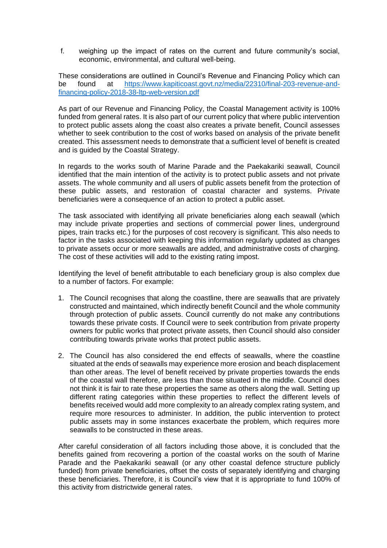f. weighing up the impact of rates on the current and future community's social, economic, environmental, and cultural well-being.

These considerations are outlined in Council's Revenue and Financing Policy which can be found at https://www.kapiticoast.govt.nz/media/22310/final-203-revenue-andfinancing-policy-2018-38-ltp-web-version.pdf

As part of our Revenue and Financing Policy, the Coastal Management activity is 100% funded from general rates. It is also part of our current policy that where public intervention to protect public assets along the coast also creates a private benefit, Council assesses whether to seek contribution to the cost of works based on analysis of the private benefit created. This assessment needs to demonstrate that a sufficient level of benefit is created and is guided by the Coastal Strategy.

In regards to the works south of Marine Parade and the Paekakariki seawall, Council identified that the main intention of the activity is to protect public assets and not private assets. The whole community and all users of public assets benefit from the protection of these public assets, and restoration of coastal character and systems. Private beneficiaries were a consequence of an action to protect a public asset.

The task associated with identifying all private beneficiaries along each seawall (which may include private properties and sections of commercial power lines, underground pipes, train tracks etc.) for the purposes of cost recovery is significant. This also needs to factor in the tasks associated with keeping this information regularly updated as changes to private assets occur or more seawalls are added, and administrative costs of charging. The cost of these activities will add to the existing rating impost.

Identifying the level of benefit attributable to each beneficiary group is also complex due to a number of factors. For example:

- 1. The Council recognises that along the coastline, there are seawalls that are privately constructed and maintained, which indirectly benefit Council and the whole community through protection of public assets. Council currently do not make any contributions towards these private costs. If Council were to seek contribution from private property owners for public works that protect private assets, then Council should also consider contributing towards private works that protect public assets.
- 2. The Council has also considered the end effects of seawalls, where the coastline situated at the ends of seawalls may experience more erosion and beach displacement than other areas. The level of benefit received by private properties towards the ends of the coastal wall therefore, are less than those situated in the middle. Council does not think it is fair to rate these properties the same as others along the wall. Setting up different rating categories within these properties to reflect the different levels of benefits received would add more complexity to an already complex rating system, and require more resources to administer. In addition, the public intervention to protect public assets may in some instances exacerbate the problem, which requires more seawalls to be constructed in these areas.

After careful consideration of all factors including those above, it is concluded that the benefits gained from recovering a portion of the coastal works on the south of Marine Parade and the Paekakariki seawall (or any other coastal defence structure publicly funded) from private beneficiaries, offset the costs of separately identifying and charging these beneficiaries. Therefore, it is Council's view that it is appropriate to fund 100% of this activity from districtwide general rates.